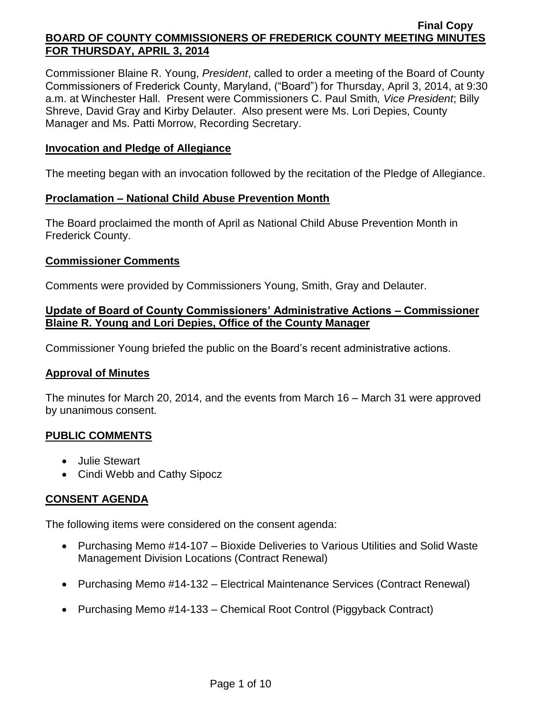Commissioner Blaine R. Young, *President*, called to order a meeting of the Board of County Commissioners of Frederick County, Maryland, ("Board") for Thursday, April 3, 2014, at 9:30 a.m. at Winchester Hall. Present were Commissioners C. Paul Smith*, Vice President*; Billy Shreve, David Gray and Kirby Delauter. Also present were Ms. Lori Depies, County Manager and Ms. Patti Morrow, Recording Secretary.

### **Invocation and Pledge of Allegiance**

The meeting began with an invocation followed by the recitation of the Pledge of Allegiance.

### **Proclamation – National Child Abuse Prevention Month**

The Board proclaimed the month of April as National Child Abuse Prevention Month in Frederick County.

### **Commissioner Comments**

Comments were provided by Commissioners Young, Smith, Gray and Delauter.

# **Update of Board of County Commissioners' Administrative Actions – Commissioner Blaine R. Young and Lori Depies, Office of the County Manager**

Commissioner Young briefed the public on the Board's recent administrative actions.

### **Approval of Minutes**

The minutes for March 20, 2014, and the events from March 16 – March 31 were approved by unanimous consent.

### **PUBLIC COMMENTS**

- Julie Stewart
- Cindi Webb and Cathy Sipocz

# **CONSENT AGENDA**

The following items were considered on the consent agenda:

- Purchasing Memo #14-107 Bioxide Deliveries to Various Utilities and Solid Waste Management Division Locations (Contract Renewal)
- Purchasing Memo #14-132 Electrical Maintenance Services (Contract Renewal)
- Purchasing Memo #14-133 Chemical Root Control (Piggyback Contract)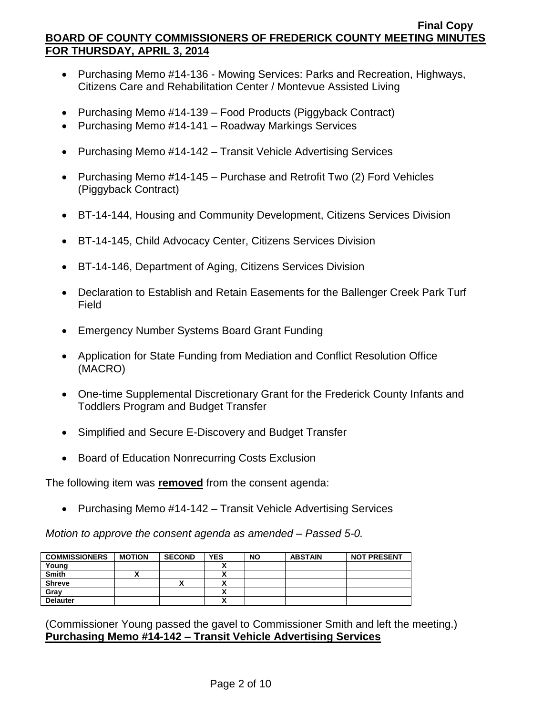- Purchasing Memo #14-136 Mowing Services: Parks and Recreation, Highways, Citizens Care and Rehabilitation Center / Montevue Assisted Living
- Purchasing Memo #14-139 Food Products (Piggyback Contract)
- Purchasing Memo #14-141 Roadway Markings Services
- Purchasing Memo #14-142 Transit Vehicle Advertising Services
- Purchasing Memo #14-145 Purchase and Retrofit Two (2) Ford Vehicles (Piggyback Contract)
- BT-14-144, Housing and Community Development, Citizens Services Division
- BT-14-145, Child Advocacy Center, Citizens Services Division
- BT-14-146, Department of Aging, Citizens Services Division
- Declaration to Establish and Retain Easements for the Ballenger Creek Park Turf Field
- Emergency Number Systems Board Grant Funding
- Application for State Funding from Mediation and Conflict Resolution Office (MACRO)
- One-time Supplemental Discretionary Grant for the Frederick County Infants and Toddlers Program and Budget Transfer
- Simplified and Secure E-Discovery and Budget Transfer
- Board of Education Nonrecurring Costs Exclusion

The following item was **removed** from the consent agenda:

• Purchasing Memo #14-142 – Transit Vehicle Advertising Services

*Motion to approve the consent agenda as amended – Passed 5-0.*

| <b>COMMISSIONERS</b> | <b>MOTION</b> | <b>SECOND</b> | <b>YES</b> | <b>NO</b> | <b>ABSTAIN</b> | <b>NOT PRESENT</b> |
|----------------------|---------------|---------------|------------|-----------|----------------|--------------------|
| Young                |               |               |            |           |                |                    |
| <b>Smith</b>         |               |               |            |           |                |                    |
| <b>Shreve</b>        |               | Λ             |            |           |                |                    |
| Gray                 |               |               |            |           |                |                    |
| <b>Delauter</b>      |               |               |            |           |                |                    |

(Commissioner Young passed the gavel to Commissioner Smith and left the meeting.) **Purchasing Memo #14-142 – Transit Vehicle Advertising Services**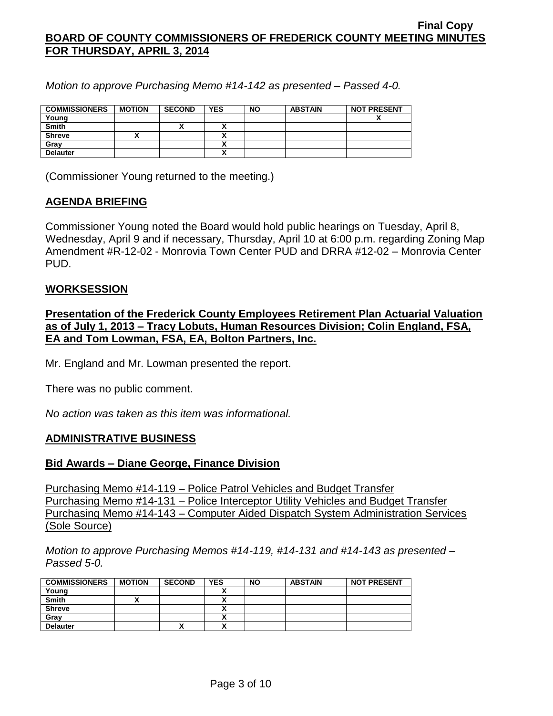*Motion to approve Purchasing Memo #14-142 as presented – Passed 4-0.*

| <b>COMMISSIONERS</b> | <b>MOTION</b> | <b>SECOND</b> | <b>YES</b> | <b>NO</b> | <b>ABSTAIN</b> | <b>NOT PRESENT</b> |
|----------------------|---------------|---------------|------------|-----------|----------------|--------------------|
| Young                |               |               |            |           |                | ,,                 |
| <b>Smith</b>         |               | ^`            |            |           |                |                    |
| <b>Shreve</b>        |               |               |            |           |                |                    |
| Grav                 |               |               |            |           |                |                    |
| <b>Delauter</b>      |               |               |            |           |                |                    |

(Commissioner Young returned to the meeting.)

# **AGENDA BRIEFING**

Commissioner Young noted the Board would hold public hearings on Tuesday, April 8, Wednesday, April 9 and if necessary, Thursday, April 10 at 6:00 p.m. regarding Zoning Map Amendment #R-12-02 - Monrovia Town Center PUD and DRRA #12-02 – Monrovia Center PUD.

# **WORKSESSION**

**Presentation of the Frederick County Employees Retirement Plan Actuarial Valuation as of July 1, 2013 – Tracy Lobuts, Human Resources Division; Colin England, FSA, EA and Tom Lowman, FSA, EA, Bolton Partners, Inc.**

Mr. England and Mr. Lowman presented the report.

There was no public comment.

*No action was taken as this item was informational.*

# **ADMINISTRATIVE BUSINESS**

### **Bid Awards – Diane George, Finance Division**

Purchasing Memo #14-119 – Police Patrol Vehicles and Budget Transfer Purchasing Memo #14-131 – Police Interceptor Utility Vehicles and Budget Transfer Purchasing Memo #14-143 – Computer Aided Dispatch System Administration Services (Sole Source)

*Motion to approve Purchasing Memos #14-119, #14-131 and #14-143 as presented – Passed 5-0.*

| <b>COMMISSIONERS</b> | <b>MOTION</b> | <b>SECOND</b> | <b>YES</b> | <b>NO</b> | <b>ABSTAIN</b> | <b>NOT PRESENT</b> |
|----------------------|---------------|---------------|------------|-----------|----------------|--------------------|
| Young                |               |               |            |           |                |                    |
| <b>Smith</b>         |               |               |            |           |                |                    |
| <b>Shreve</b>        |               |               |            |           |                |                    |
| Gray                 |               |               |            |           |                |                    |
| <b>Delauter</b>      |               |               |            |           |                |                    |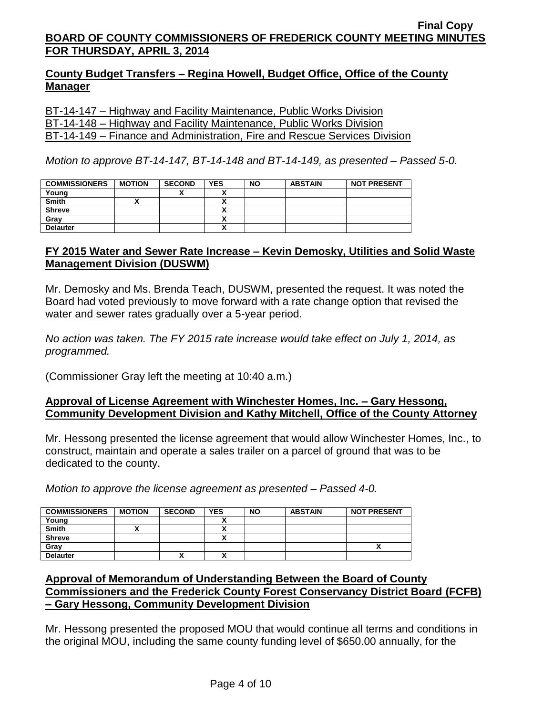# **County Budget Transfers – Regina Howell, Budget Office, Office of the County Manager**

BT-14-147 – Highway and Facility Maintenance, Public Works Division BT-14-148 – Highway and Facility Maintenance, Public Works Division BT-14-149 – Finance and Administration, Fire and Rescue Services Division

*Motion to approve BT-14-147, BT-14-148 and BT-14-149, as presented – Passed 5-0.*

| <b>COMMISSIONERS</b> | <b>MOTION</b> | <b>SECOND</b> | <b>YES</b> | <b>NO</b> | <b>ABSTAIN</b> | <b>NOT PRESENT</b> |
|----------------------|---------------|---------------|------------|-----------|----------------|--------------------|
| Young                |               |               |            |           |                |                    |
| <b>Smith</b>         |               |               |            |           |                |                    |
| <b>Shreve</b>        |               |               |            |           |                |                    |
| Gray                 |               |               |            |           |                |                    |
| <b>Delauter</b>      |               |               |            |           |                |                    |

# **FY 2015 Water and Sewer Rate Increase – Kevin Demosky, Utilities and Solid Waste Management Division (DUSWM)**

Mr. Demosky and Ms. Brenda Teach, DUSWM, presented the request. It was noted the Board had voted previously to move forward with a rate change option that revised the water and sewer rates gradually over a 5-year period.

*No action was taken. The FY 2015 rate increase would take effect on July 1, 2014, as programmed.*

(Commissioner Gray left the meeting at 10:40 a.m.)

# **Approval of License Agreement with Winchester Homes, Inc. – Gary Hessong, Community Development Division and Kathy Mitchell, Office of the County Attorney**

Mr. Hessong presented the license agreement that would allow Winchester Homes, Inc., to construct, maintain and operate a sales trailer on a parcel of ground that was to be dedicated to the county.

*Motion to approve the license agreement as presented – Passed 4-0.*

| <b>COMMISSIONERS</b> | <b>MOTION</b> | <b>SECOND</b> | <b>YES</b> | <b>NO</b> | <b>ABSTAIN</b> | <b>NOT PRESENT</b> |
|----------------------|---------------|---------------|------------|-----------|----------------|--------------------|
| Young                |               |               |            |           |                |                    |
| <b>Smith</b>         |               |               |            |           |                |                    |
| <b>Shreve</b>        |               |               |            |           |                |                    |
| Gray                 |               |               |            |           |                |                    |
| <b>Delauter</b>      |               | Λ             |            |           |                |                    |

# **Approval of Memorandum of Understanding Between the Board of County Commissioners and the Frederick County Forest Conservancy District Board (FCFB) – Gary Hessong, Community Development Division**

Mr. Hessong presented the proposed MOU that would continue all terms and conditions in the original MOU, including the same county funding level of \$650.00 annually, for the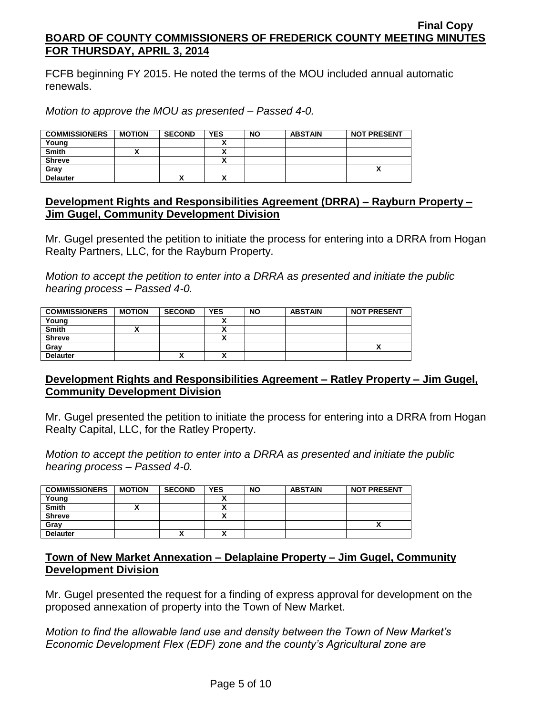FCFB beginning FY 2015. He noted the terms of the MOU included annual automatic renewals.

*Motion to approve the MOU as presented – Passed 4-0.*

| <b>COMMISSIONERS</b> | <b>MOTION</b> | <b>SECOND</b> | <b>YES</b> | <b>NO</b> | <b>ABSTAIN</b> | <b>NOT PRESENT</b> |
|----------------------|---------------|---------------|------------|-----------|----------------|--------------------|
| Young                |               |               |            |           |                |                    |
| <b>Smith</b>         |               |               |            |           |                |                    |
| <b>Shreve</b>        |               |               |            |           |                |                    |
| Grav                 |               |               |            |           |                |                    |
| <b>Delauter</b>      |               | Λ             |            |           |                |                    |

## **Development Rights and Responsibilities Agreement (DRRA) – Rayburn Property – Jim Gugel, Community Development Division**

Mr. Gugel presented the petition to initiate the process for entering into a DRRA from Hogan Realty Partners, LLC, for the Rayburn Property.

*Motion to accept the petition to enter into a DRRA as presented and initiate the public hearing process – Passed 4-0.*

| <b>COMMISSIONERS</b> | <b>MOTION</b> | <b>SECOND</b> | <b>YES</b> | <b>NO</b> | <b>ABSTAIN</b> | <b>NOT PRESENT</b> |
|----------------------|---------------|---------------|------------|-----------|----------------|--------------------|
| Young                |               |               |            |           |                |                    |
| <b>Smith</b>         |               |               |            |           |                |                    |
| <b>Shreve</b>        |               |               |            |           |                |                    |
| Gray                 |               |               |            |           |                |                    |
| <b>Delauter</b>      |               | ,,            |            |           |                |                    |

# **Development Rights and Responsibilities Agreement – Ratley Property – Jim Gugel, Community Development Division**

Mr. Gugel presented the petition to initiate the process for entering into a DRRA from Hogan Realty Capital, LLC, for the Ratley Property.

*Motion to accept the petition to enter into a DRRA as presented and initiate the public hearing process – Passed 4-0.*

| <b>COMMISSIONERS</b> | <b>MOTION</b> | <b>SECOND</b> | <b>YES</b> | <b>NO</b> | <b>ABSTAIN</b> | <b>NOT PRESENT</b> |
|----------------------|---------------|---------------|------------|-----------|----------------|--------------------|
| Young                |               |               |            |           |                |                    |
| <b>Smith</b>         |               |               |            |           |                |                    |
| <b>Shreve</b>        |               |               |            |           |                |                    |
| Grav                 |               |               |            |           |                |                    |
| <b>Delauter</b>      |               | "             |            |           |                |                    |

# **Town of New Market Annexation – Delaplaine Property – Jim Gugel, Community Development Division**

Mr. Gugel presented the request for a finding of express approval for development on the proposed annexation of property into the Town of New Market.

*Motion to find the allowable land use and density between the Town of New Market's Economic Development Flex (EDF) zone and the county's Agricultural zone are*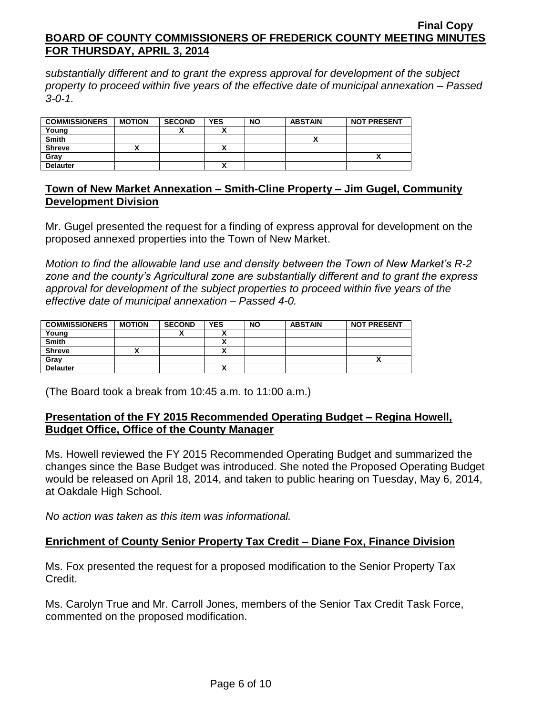*substantially different and to grant the express approval for development of the subject property to proceed within five years of the effective date of municipal annexation – Passed 3-0-1.*

| <b>COMMISSIONERS</b> | <b>MOTION</b> | <b>SECOND</b> | <b>YES</b> | <b>NO</b> | <b>ABSTAIN</b> | <b>NOT PRESENT</b> |
|----------------------|---------------|---------------|------------|-----------|----------------|--------------------|
| Young                |               | ~             |            |           |                |                    |
| <b>Smith</b>         |               |               |            |           |                |                    |
| <b>Shreve</b>        |               |               |            |           |                |                    |
| Grav                 |               |               |            |           |                |                    |
| <b>Delauter</b>      |               |               |            |           |                |                    |

# **Town of New Market Annexation – Smith-Cline Property – Jim Gugel, Community Development Division**

Mr. Gugel presented the request for a finding of express approval for development on the proposed annexed properties into the Town of New Market.

*Motion to find the allowable land use and density between the Town of New Market's R-2 zone and the county's Agricultural zone are substantially different and to grant the express approval for development of the subject properties to proceed within five years of the effective date of municipal annexation – Passed 4-0.*

| <b>COMMISSIONERS</b> | <b>MOTION</b> | <b>SECOND</b> | <b>YES</b> | <b>NO</b> | <b>ABSTAIN</b> | <b>NOT PRESENT</b> |
|----------------------|---------------|---------------|------------|-----------|----------------|--------------------|
| Young                |               |               |            |           |                |                    |
| <b>Smith</b>         |               |               |            |           |                |                    |
| <b>Shreve</b>        |               |               | v          |           |                |                    |
| Gray                 |               |               |            |           |                | ^                  |
| <b>Delauter</b>      |               |               |            |           |                |                    |

(The Board took a break from 10:45 a.m. to 11:00 a.m.)

# **Presentation of the FY 2015 Recommended Operating Budget – Regina Howell, Budget Office, Office of the County Manager**

Ms. Howell reviewed the FY 2015 Recommended Operating Budget and summarized the changes since the Base Budget was introduced. She noted the Proposed Operating Budget would be released on April 18, 2014, and taken to public hearing on Tuesday, May 6, 2014, at Oakdale High School.

*No action was taken as this item was informational.*

# **Enrichment of County Senior Property Tax Credit – Diane Fox, Finance Division**

Ms. Fox presented the request for a proposed modification to the Senior Property Tax Credit.

Ms. Carolyn True and Mr. Carroll Jones, members of the Senior Tax Credit Task Force, commented on the proposed modification.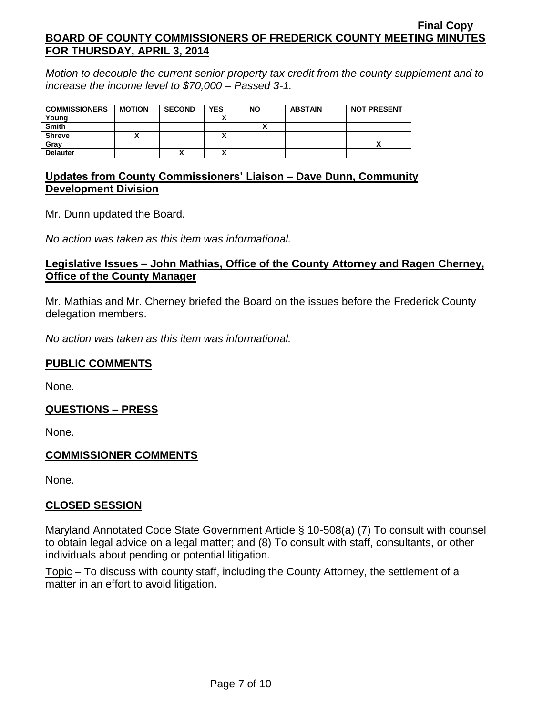*Motion to decouple the current senior property tax credit from the county supplement and to increase the income level to \$70,000 – Passed 3-1.*

| <b>COMMISSIONERS</b> | <b>MOTION</b> | <b>SECOND</b> | <b>YES</b> | <b>NO</b> | <b>ABSTAIN</b> | <b>NOT PRESENT</b> |
|----------------------|---------------|---------------|------------|-----------|----------------|--------------------|
| Young                |               |               |            |           |                |                    |
| <b>Smith</b>         |               |               |            |           |                |                    |
| <b>Shreve</b>        |               |               | ~          |           |                |                    |
| Grav                 |               |               |            |           |                |                    |
| <b>Delauter</b>      |               | "             | ٠.<br>~    |           |                |                    |

# **Updates from County Commissioners' Liaison – Dave Dunn, Community Development Division**

Mr. Dunn updated the Board.

*No action was taken as this item was informational.*

# **Legislative Issues – John Mathias, Office of the County Attorney and Ragen Cherney, Office of the County Manager**

Mr. Mathias and Mr. Cherney briefed the Board on the issues before the Frederick County delegation members.

*No action was taken as this item was informational.*

# **PUBLIC COMMENTS**

None.

# **QUESTIONS – PRESS**

None.

# **COMMISSIONER COMMENTS**

None.

# **CLOSED SESSION**

Maryland Annotated Code State Government Article § 10-508(a) (7) To consult with counsel to obtain legal advice on a legal matter; and (8) To consult with staff, consultants, or other individuals about pending or potential litigation.

Topic – To discuss with county staff, including the County Attorney, the settlement of a matter in an effort to avoid litigation.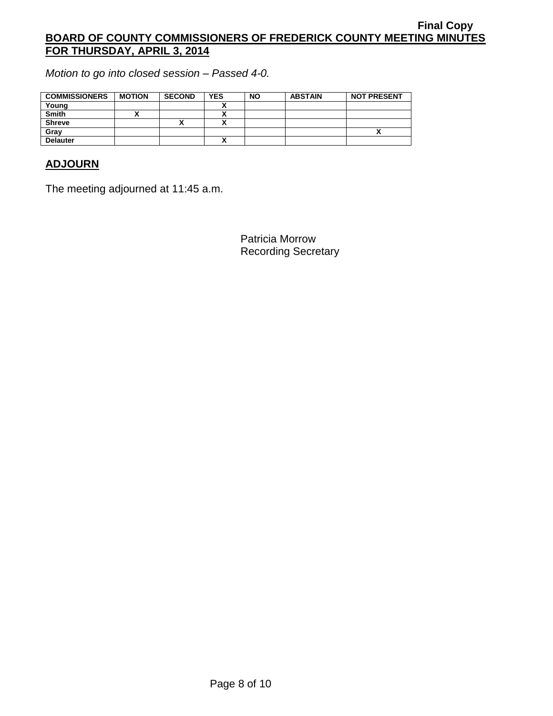*Motion to go into closed session – Passed 4-0.*

| <b>COMMISSIONERS</b> | <b>MOTION</b> | <b>SECOND</b> | <b>YES</b> | <b>NO</b> | <b>ABSTAIN</b> | <b>NOT PRESENT</b> |
|----------------------|---------------|---------------|------------|-----------|----------------|--------------------|
| Young                |               |               |            |           |                |                    |
| <b>Smith</b>         |               |               |            |           |                |                    |
| <b>Shreve</b>        |               | ́             |            |           |                |                    |
| Gray                 |               |               |            |           |                | "                  |
| <b>Delauter</b>      |               |               |            |           |                |                    |

# **ADJOURN**

The meeting adjourned at 11:45 a.m.

Patricia Morrow Recording Secretary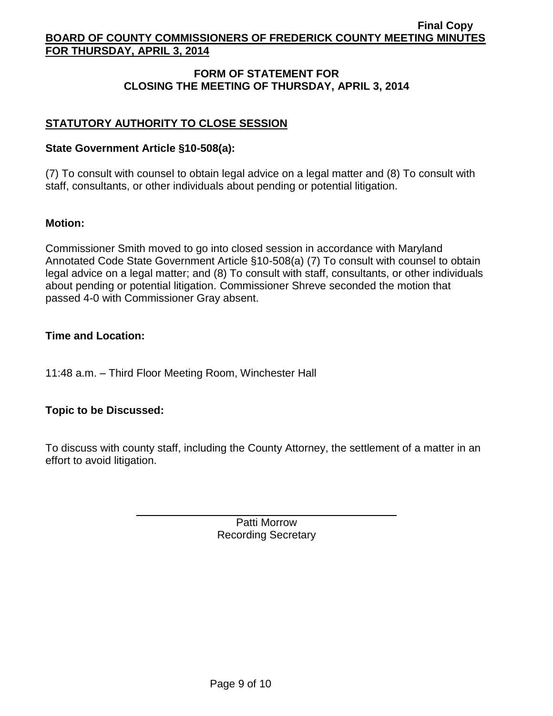# **FORM OF STATEMENT FOR CLOSING THE MEETING OF THURSDAY, APRIL 3, 2014**

# **STATUTORY AUTHORITY TO CLOSE SESSION**

## **State Government Article §10-508(a):**

(7) To consult with counsel to obtain legal advice on a legal matter and (8) To consult with staff, consultants, or other individuals about pending or potential litigation.

### **Motion:**

Commissioner Smith moved to go into closed session in accordance with Maryland Annotated Code State Government Article §10-508(a) (7) To consult with counsel to obtain legal advice on a legal matter; and (8) To consult with staff, consultants, or other individuals about pending or potential litigation. Commissioner Shreve seconded the motion that passed 4-0 with Commissioner Gray absent.

### **Time and Location:**

11:48 a.m. – Third Floor Meeting Room, Winchester Hall

# **Topic to be Discussed:**

To discuss with county staff, including the County Attorney, the settlement of a matter in an effort to avoid litigation.

> Patti Morrow Recording Secretary